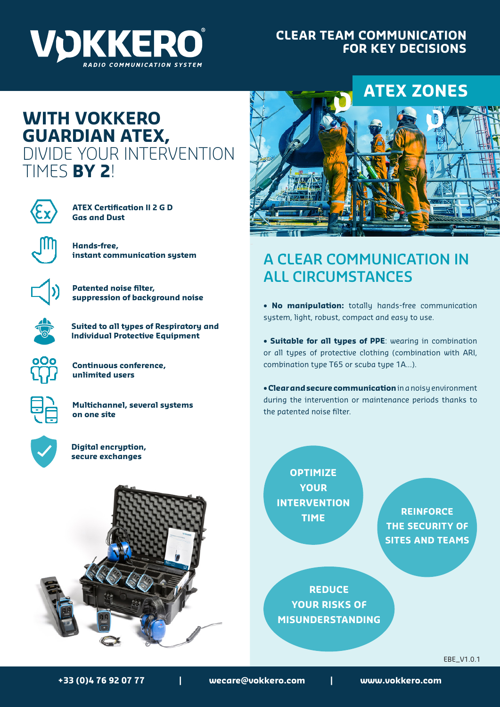

### **CLEAR TEAM COMMUNICATION FOR KEY DECISIONS**

# **WITH VOKKERO GUARDIAN ATEX,**  DIVIDE YOUR INTERVENTION TIMES **BY 2**!



**ATEX Certification II 2 G D Gas and Dust**



**Hands-free, instant communication system**



**Patented noise filter, suppression of background noise**



**Suited to all types of Respiratory and Individual Protective Equipment**



**Continuous conference, unlimited users**



**Multichannel, several systems on one site**



**Digital encryption, secure exchanges**





## **A CLEAR COMMUNICATION IN ALL CIRCUMSTANCES**

• **No manipulation:** totally hands-free communication system, light, robust, compact and easy to use.

• **Suitable for all types of PPE**: wearing in combination or all types of protective clothing (combination with ARI, combination type T65 or scuba type 1A...).

• **Clear and secure communication** in a noisy environment during the intervention or maintenance periods thanks to the patented noise filter.

**OPTIMIZE YOUR INTERVENTION TIME**

**REINFORCE THE SECURITY OF SITES AND TEAMS**

**REDUCE YOUR RISKS OF MISUNDERSTANDING**

EBE\_V1.0.1